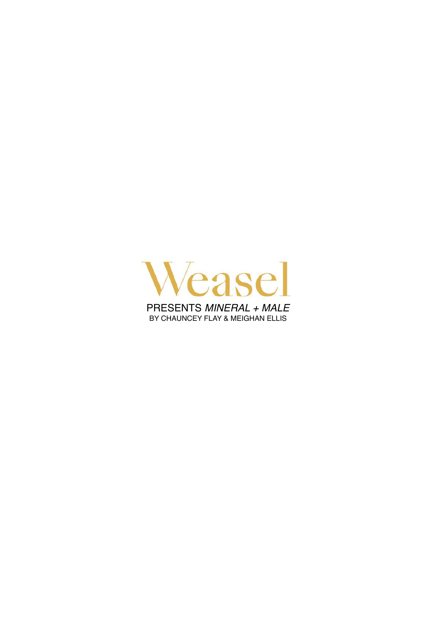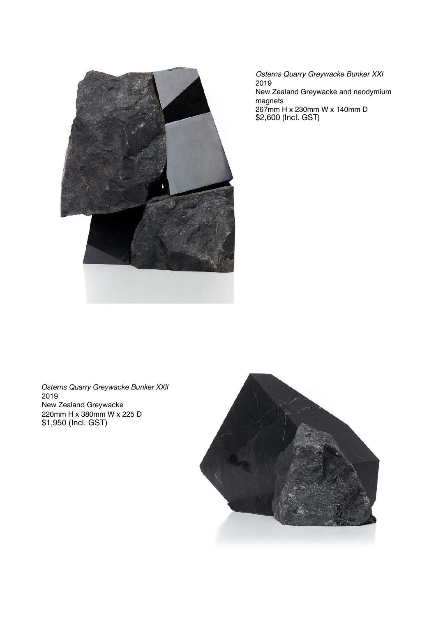

*Osterns Quarry Greywacke Bunker XXl* 2019 New Zealand Greywacke and neodymium magnets 267mm H x 230mm W x 140mm D \$2,600 (Incl. GST)

*Osterns Quarry Greywacke Bunker XXll*  2019 New Zealand Greywacke 220mm H x 380mm W x 225 D \$1,950 (Incl. GST)

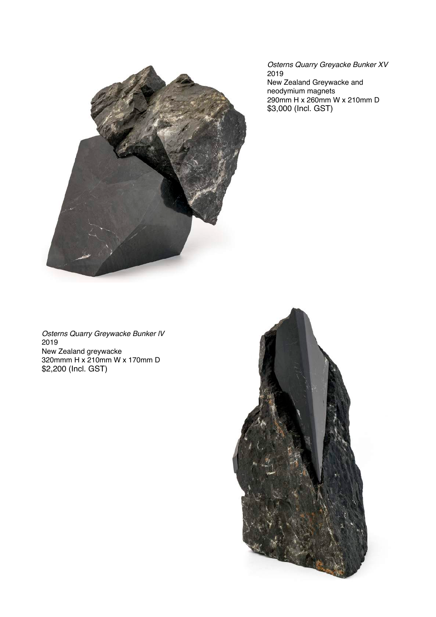

*Osterns Quarry Greyacke Bunker XV* 2019 New Zealand Greywacke and neodymium magnets 290mm H x 260mm W x 210mm D \$3,000 (Incl. GST)

*Osterns Quarry Greywacke Bunker lV* 2019 New Zealand greywacke 320mmm H x 210mm W x 170mm D \$2,200 (Incl. GST)

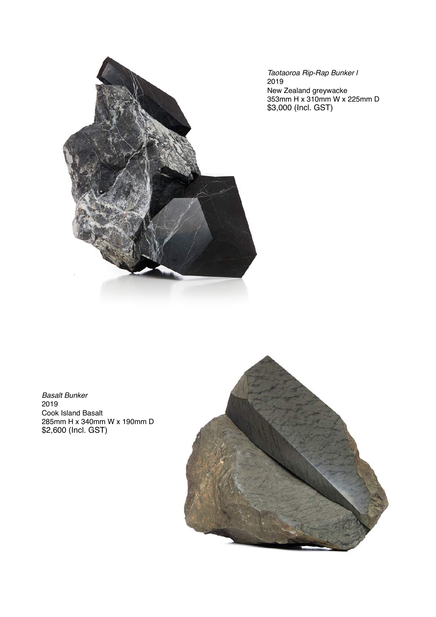

*Taotaoroa Rip-Rap Bunker l* 2019 New Zealand greywacke 353mm H x 310mm W x 225mm D \$3,000 (Incl. GST)

*Basalt Bunker* 2019 Cook Island Basalt 285mm H x 340mm W x 190mm D \$2,600 (Incl. GST)

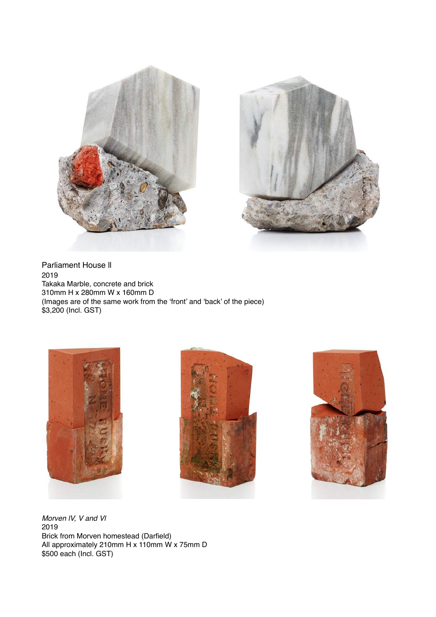



Parliament House ll 2019 Takaka Marble, concrete and brick 310mm H x 280mm W x 160mm D (Images are of the same work from the 'front' and 'back' of the piece) \$3,200 (Incl. GST)







*Morven lV, V and Vl* 2019 Brick from Morven homestead (Darfield) All approximately 210mm H x 110mm W x 75mm D \$500 each (Incl. GST)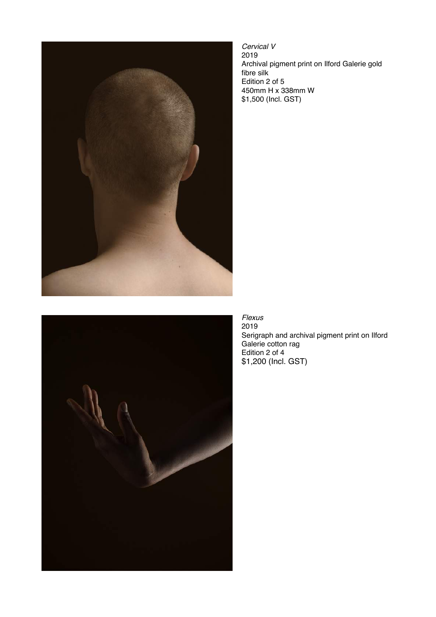

*Cervical V* 2019 Archival pigment print on Ilford Galerie gold fibre silk Edition 2 of 5 450mm H x 338mm W \$1,500 (Incl. GST)



*Flexus*  2019 Serigraph and archival pigment print on Ilford Galerie cotton rag Edition 2 of 4 \$1,200 (Incl. GST)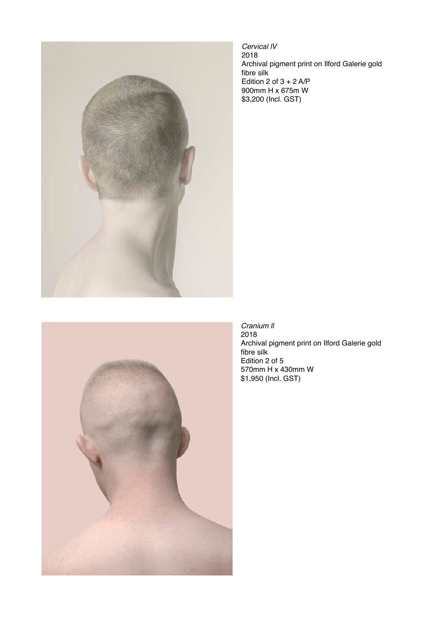

*Cervical lV* 2018 Archival pigment print on Ilford Galerie gold fibre silk Edition 2 of  $3 + 2$  A/P 900mm H x 675m W \$3,200 (Incl. GST)



*Cranium ll*  2018 Archival pigment print on Ilford Galerie gold fibre silk Edition 2 of 5 570mm H x 430mm W \$1,950 (Incl. GST)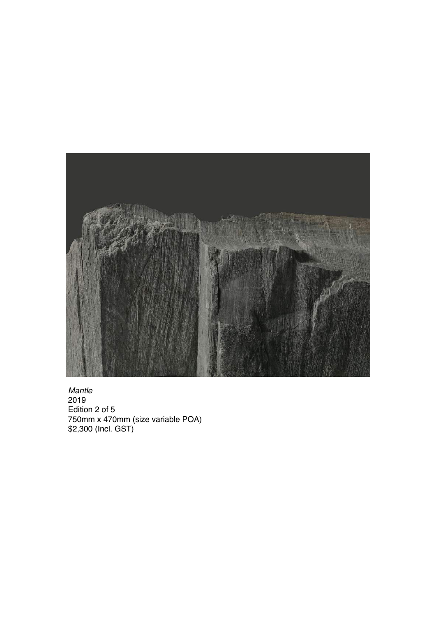

*Mantle* 2019 Edition 2 of 5 750mm x 470mm (size variable POA) \$2,300 (Incl. GST)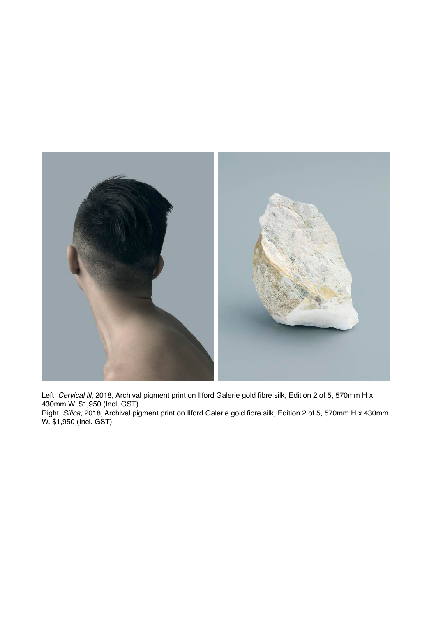

Left: *Cervical III*, 2018, Archival pigment print on Ilford Galerie gold fibre silk, Edition 2 of 5, 570mm H x 430mm W. \$1,950 (Incl. GST) Right: *Silica*, 2018, Archival pigment print on Ilford Galerie gold fibre silk, Edition 2 of 5, 570mm H x 430mm W. \$1,950 (Incl. GST)